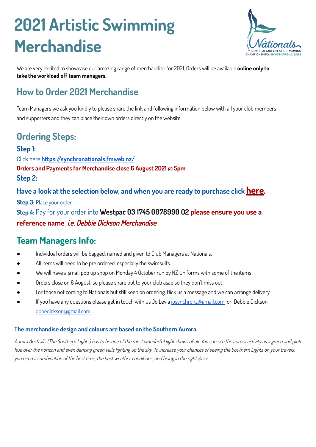# **2021 Artistic Swimming Merchandise**



We are very excited to showcase our amazing range of merchandise for 2021. Orders will be available **online only to take the workload off team managers.**

## **How to Order 2021 Merchandise**

Team Managers we ask you kindly to please share the link and following information below with all your club members and supporters and they can place their own orders directly on the website.

## **Ordering Steps:**

#### **Step 1:** Click here **<https://synchronationals.fmweb.nz/> Orders and Payments for Merchandise close 6 August 2021 @ 5pm Step 2:**

**Have a look at the selection below, and when you are ready to purchase click [here.](https://synchronationals.fmweb.nz/register)**

**Step 3:** Place your order **Step 4:** Pay for your order into **Westpac 03 1745 0078990 02 please ensure you use a reference name** i.e. Debbie Dickson Merchandise

## **Team Managers Info:**

- Individual orders will be bagged, named and given to Club Managers at Nationals.
- All items will need to be pre ordered, especially the swimsuits.
- We will have a small pop up shop on Monday 4 October run by NZ Uniforms with some of the items
- Orders close on 6 August, so please share out to your club asap so they don't miss out.
- For those not coming to Nationals but still keen on ordering, flick us a message and we can arrange delivery.
- If you have any questions please get in touch with us Jo Levia [josynchronz@gmail.com](mailto:josynchronz@gmail.com) or Debbie Dickson [dbbedickson@gmail.com](mailto:dbbedickson@gmail.com) .

#### **The merchandise design and colours are based on the Southern Aurora.**

Aurora Australis (The Southern Lights) has to be one of the most wonderful light shows of all. You can see the aurora activity as a green and pink hue over the horizon and even dancing green veils lighting up the sky. To increase your chances of seeing the Southern Lights on your travels, you need a combination of the best time, the best weather conditions, and being in the right place.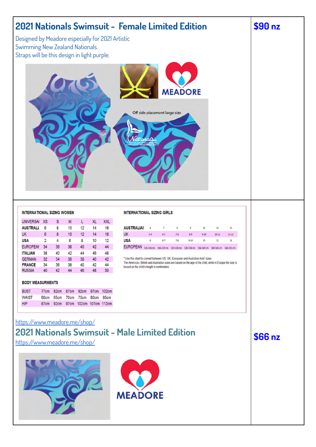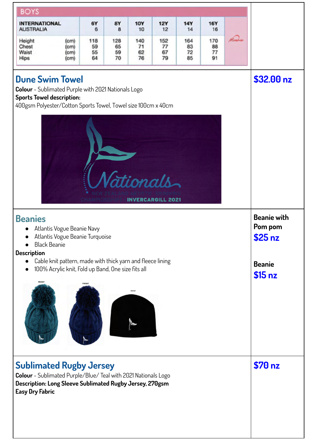| <b>BOYS</b>                                                                                                                                                                            |                       |                       |                       |                          |                       |                       |                                          |
|----------------------------------------------------------------------------------------------------------------------------------------------------------------------------------------|-----------------------|-----------------------|-----------------------|--------------------------|-----------------------|-----------------------|------------------------------------------|
| <b>INTERNATIONAL</b><br><b>AUSTRALIA</b>                                                                                                                                               | 6Y<br>6               | 8Y<br>8               | <b>10Y</b><br>10      | <b>12Y</b><br>12         | <b>14Y</b><br>14      | <b>16Y</b><br>16      |                                          |
| Height<br>(cm)<br>Chest<br>(c <sub>m</sub> )<br>Waist<br>(c <sub>m</sub> )<br>Hips<br>(c <sub>m</sub> )                                                                                | 118<br>59<br>55<br>64 | 128<br>65<br>59<br>70 | 140<br>71<br>62<br>76 | 152<br>77<br>67<br>79    | 164<br>83<br>72<br>85 | 170<br>88<br>77<br>91 |                                          |
| <b>Dune Swim Towel</b><br>Colour - Sublimated Purple with 2021 Nationals Logo<br><b>Sports Towel description:</b><br>400gsm Polyester/Cotton Sports Towel, Towel size 100cm x 40cm     |                       |                       |                       |                          |                       |                       | \$32.00 nz                               |
|                                                                                                                                                                                        |                       |                       | ionals                | <b>INVERCARGILL 2021</b> |                       |                       |                                          |
| <b>Beanies</b><br>Atlantis Vogue Beanie Navy<br>Atlantis Vogue Beanie Turquoise<br><b>Black Beanie</b><br><b>Description</b>                                                           |                       |                       |                       |                          |                       |                       | <b>Beanie with</b><br>Pom pom<br>\$25 nz |
| Cable knit pattern, made with thick yarn and fleece lining<br>$\bullet$<br>100% Acrylic knit, Fold up Band, One size fits all<br>FRONT                                                 |                       |                       |                       |                          |                       |                       | <b>Beanie</b><br>\$15 <sub>nz</sub>      |
|                                                                                                                                                                                        |                       |                       | <b>FRONT</b>          |                          |                       |                       |                                          |
| <b>Sublimated Rugby Jersey</b><br>Colour - Sublimated Purple/Blue/ Teal with 2021 Nationals Logo<br>Description: Long Sleeve Sublimated Rugby Jersey, 270gsm<br><b>Easy Dry Fabric</b> |                       |                       |                       |                          |                       |                       | \$70 nz                                  |
|                                                                                                                                                                                        |                       |                       |                       |                          |                       |                       |                                          |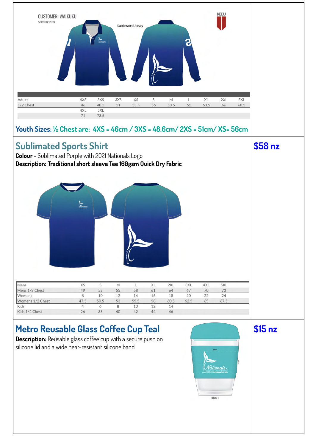